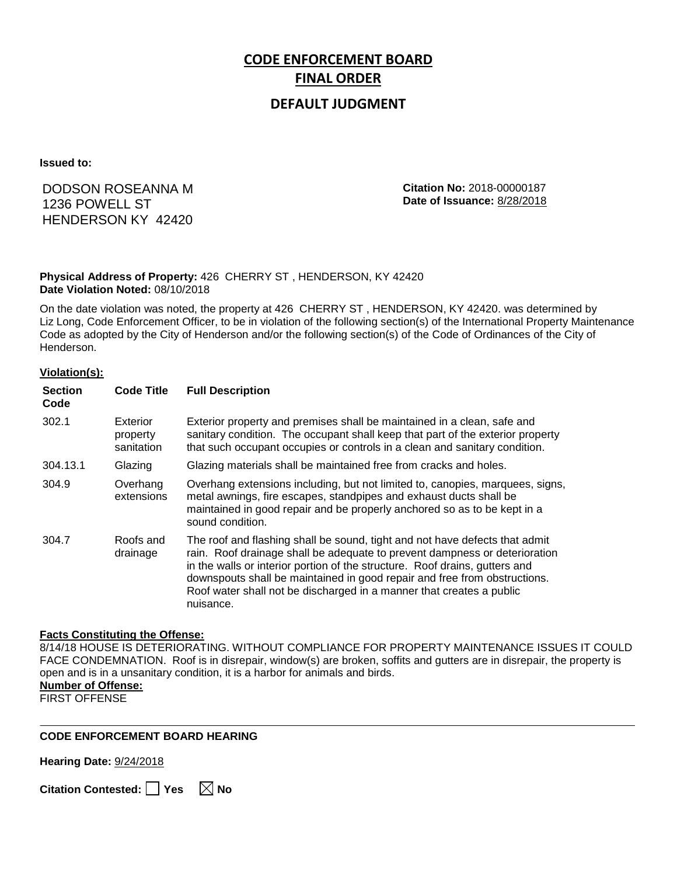# **CODE ENFORCEMENT BOARD FINAL ORDER**

### **DEFAULT JUDGMENT**

**Issued to:**

## DODSON ROSEANNA M 1236 POWELL ST HENDERSON KY 42420

**Citation No:** 2018-00000187 **Date of Issuance:** 8/28/2018

#### **Physical Address of Property:** 426 CHERRY ST , HENDERSON, KY 42420 **Date Violation Noted:** 08/10/2018

On the date violation was noted, the property at 426 CHERRY ST , HENDERSON, KY 42420. was determined by Liz Long, Code Enforcement Officer, to be in violation of the following section(s) of the International Property Maintenance Code as adopted by the City of Henderson and/or the following section(s) of the Code of Ordinances of the City of Henderson.

#### **Violation(s):**

| <b>Section</b><br>Code | <b>Code Title</b>                  | <b>Full Description</b>                                                                                                                                                                                                                                                                                                                                                                                    |
|------------------------|------------------------------------|------------------------------------------------------------------------------------------------------------------------------------------------------------------------------------------------------------------------------------------------------------------------------------------------------------------------------------------------------------------------------------------------------------|
| 302.1                  | Exterior<br>property<br>sanitation | Exterior property and premises shall be maintained in a clean, safe and<br>sanitary condition. The occupant shall keep that part of the exterior property<br>that such occupant occupies or controls in a clean and sanitary condition.                                                                                                                                                                    |
| 304.13.1               | Glazing                            | Glazing materials shall be maintained free from cracks and holes.                                                                                                                                                                                                                                                                                                                                          |
| 304.9                  | Overhang<br>extensions             | Overhang extensions including, but not limited to, canopies, marquees, signs,<br>metal awnings, fire escapes, standpipes and exhaust ducts shall be<br>maintained in good repair and be properly anchored so as to be kept in a<br>sound condition.                                                                                                                                                        |
| 304.7                  | Roofs and<br>drainage              | The roof and flashing shall be sound, tight and not have defects that admit<br>rain. Roof drainage shall be adequate to prevent dampness or deterioration<br>in the walls or interior portion of the structure. Roof drains, gutters and<br>downspouts shall be maintained in good repair and free from obstructions.<br>Roof water shall not be discharged in a manner that creates a public<br>nuisance. |

#### **Facts Constituting the Offense:**

8/14/18 HOUSE IS DETERIORATING. WITHOUT COMPLIANCE FOR PROPERTY MAINTENANCE ISSUES IT COULD FACE CONDEMNATION. Roof is in disrepair, window(s) are broken, soffits and gutters are in disrepair, the property is open and is in a unsanitary condition, it is a harbor for animals and birds. **Number of Offense:**

FIRST OFFENSE

#### **CODE ENFORCEMENT BOARD HEARING**

**Hearing Date:** 9/24/2018

**Citation Contested:** □ Yes  $\ \ \mathbb{\times}$  No